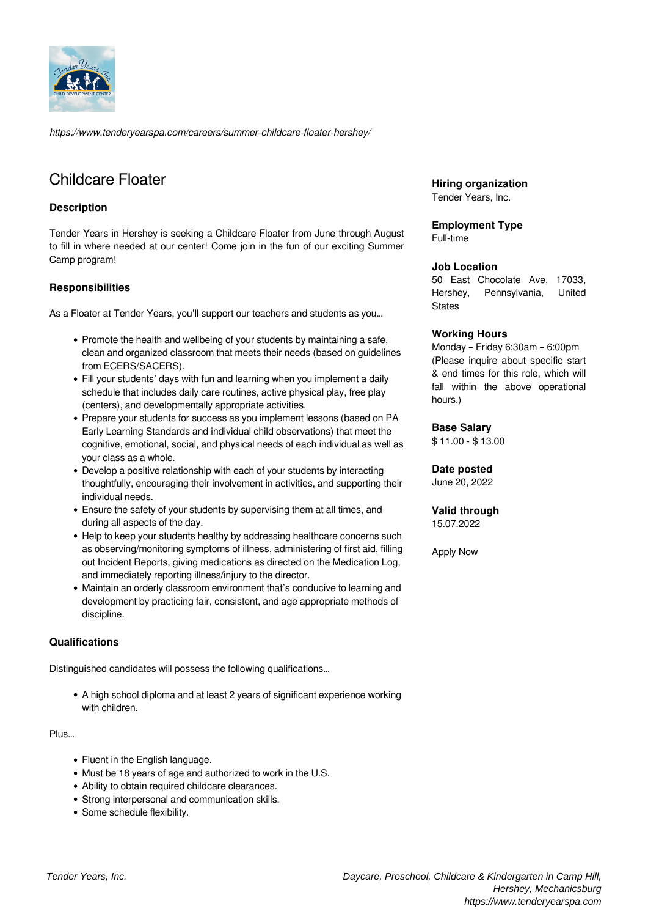

*https://www.tenderyearspa.com/careers/summer-childcare-floater-hershey/*

# Childcare Floater

# **Description**

Tender Years in Hershey is seeking a Childcare Floater from June through August to fill in where needed at our center! Come join in the fun of our exciting Summer Camp program!

## **Responsibilities**

As a Floater at Tender Years, you'll support our teachers and students as you…

- Promote the health and wellbeing of your students by maintaining a safe. clean and organized classroom that meets their needs (based on guidelines from ECERS/SACERS).
- Fill your students' days with fun and learning when you implement a daily schedule that includes daily care routines, active physical play, free play (centers), and developmentally appropriate activities.
- Prepare your students for success as you implement lessons (based on PA Early Learning Standards and individual child observations) that meet the cognitive, emotional, social, and physical needs of each individual as well as your class as a whole.
- Develop a positive relationship with each of your students by interacting thoughtfully, encouraging their involvement in activities, and supporting their individual needs.
- Ensure the safety of your students by supervising them at all times, and during all aspects of the day.
- Help to keep your students healthy by addressing healthcare concerns such as observing/monitoring symptoms of illness, administering of first aid, filling out Incident Reports, giving medications as directed on the Medication Log, and immediately reporting illness/injury to the director.
- Maintain an orderly classroom environment that's conducive to learning and development by practicing fair, consistent, and age appropriate methods of discipline.

#### **Qualifications**

Distinguished candidates will possess the following qualifications…

A high school diploma and at least 2 years of significant experience working with children.

Plus…

- Fluent in the English language.
- Must be 18 years of age and authorized to work in the U.S.
- Ability to obtain required childcare clearances.
- Strong interpersonal and communication skills.
- Some schedule flexibility.

# **Hiring organization**

Tender Years, Inc.

# **Employment Type**

Full-time

#### **Job Location**

50 East Chocolate Ave, 17033, Hershey, Pennsylvania, United **States** 

#### **Working Hours**

Monday – Friday 6:30am – 6:00pm (Please inquire about specific start & end times for this role, which will fall within the above operational hours.)

#### **Base Salary**

\$ 11.00 - \$ 13.00

#### **Date posted**

June 20, 2022

# **Valid through**

15.07.2022

Apply Now